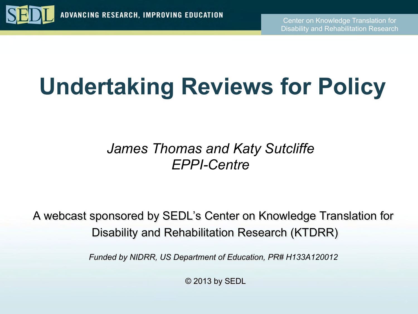

# **Undertaking Reviews for Policy**

#### *James Thomas and Katy Sutcliffe EPPI-Centre*

A webcast sponsored by SEDL's Center on Knowledge Translation for Disability and Rehabilitation Research (KTDRR)

*Funded by NIDRR, US Department of Education, PR# H133A120012* 

© 2013 by SEDL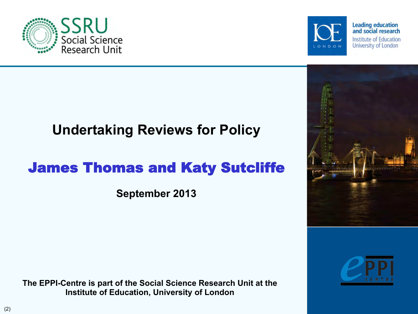**The EPPI-Centre is part of the Social Science Research Unit at the Institute of Education, University of London** 

#### **Undertaking Reviews for Policy**

#### James Thomas and Katy Sutcliffe

**September 2013** 







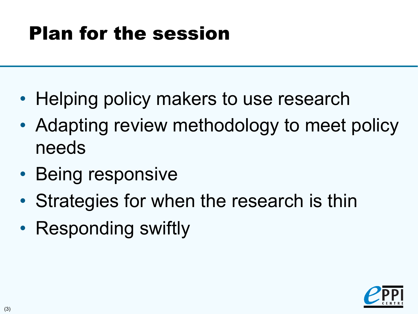## Plan for the session

- Helping policy makers to use research
- Adapting review methodology to meet policy needs
- Being responsive
- Strategies for when the research is thin
- Responding swiftly

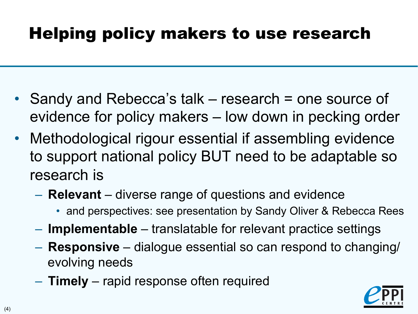### Helping policy makers to use research

- Sandy and Rebecca's talk research = one source of evidence for policy makers – low down in pecking order
- Methodological rigour essential if assembling evidence to support national policy BUT need to be adaptable so research is
	- **Relevant** diverse range of questions and evidence
		- and perspectives: see presentation by Sandy Oliver & Rebecca Rees
	- **Implementable** translatable for relevant practice settings
	- **Responsive** dialogue essential so can respond to changing/ evolving needs
	- **Timely** rapid response often required

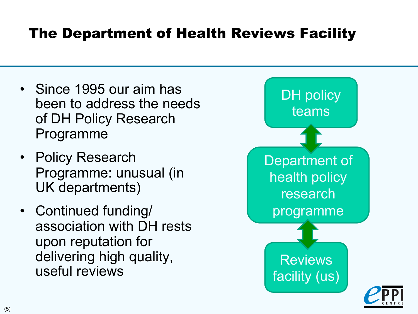#### The Department of Health Reviews Facility

- Since 1995 our aim has been to address the needs of DH Policy Research Programme
- Policy Research Programme: unusual (in UK departments)
- Continued funding/ association with DH rests upon reputation for delivering high quality, useful reviews

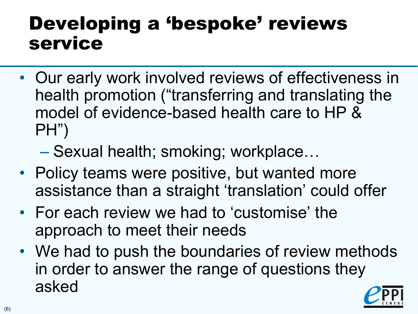## Developing a 'bespoke' reviews service

- Our early work involved reviews of effectiveness in health promotion ("transferring and translating the model of evidence-based health care to HP & PH")
	- Sexual health; smoking; workplace…
- Policy teams were positive, but wanted more assistance than a straight 'translation' could offer
- For each review we had to 'customise' the approach to meet their needs
- We had to push the boundaries of review methods in order to answer the range of questions they asked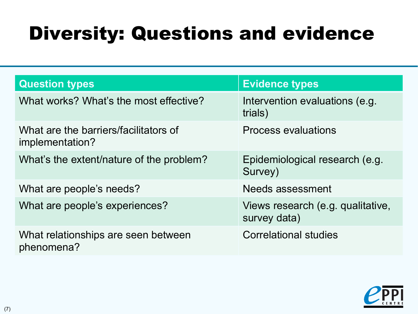## Diversity: Questions and evidence

| <b>Question types</b>                                    | <b>Evidence types</b>                             |
|----------------------------------------------------------|---------------------------------------------------|
| What works? What's the most effective?                   | Intervention evaluations (e.g.<br>trials)         |
| What are the barriers/facilitators of<br>implementation? | <b>Process evaluations</b>                        |
| What's the extent/nature of the problem?                 | Epidemiological research (e.g.<br>Survey)         |
| What are people's needs?                                 | Needs assessment                                  |
| What are people's experiences?                           | Views research (e.g. qualitative,<br>survey data) |
| What relationships are seen between<br>phenomena?        | <b>Correlational studies</b>                      |

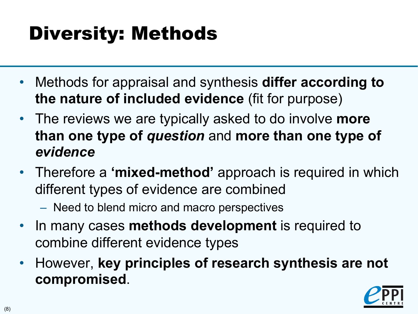## Diversity: Methods

- Methods for appraisal and synthesis **differ according to the nature of included evidence** (fit for purpose)
- The reviews we are typically asked to do involve **more than one type of** *question* and **more than one type of**  *evidence*
- Therefore a **'mixed-method'** approach is required in which different types of evidence are combined
	- Need to blend micro and macro perspectives
- In many cases **methods development** is required to combine different evidence types
- However, **key principles of research synthesis are not compromised**.

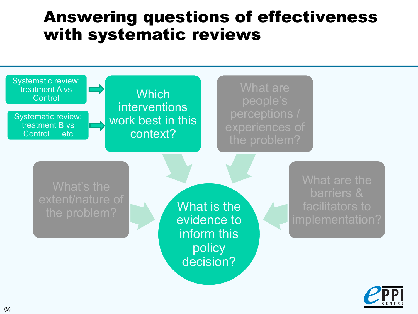### Answering questions of effectiveness with systematic reviews



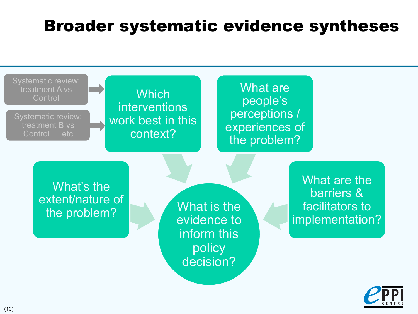### Broader systematic evidence syntheses



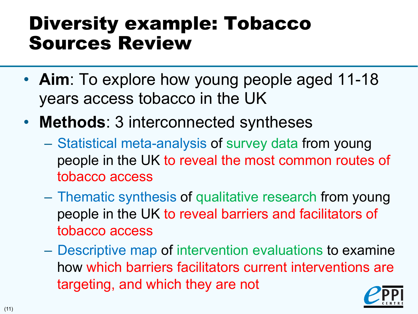## Diversity example: Tobacco Sources Review

- **Aim**: To explore how young people aged 11-18 years access tobacco in the UK
- **Methods**: 3 interconnected syntheses
	- Statistical meta-analysis of survey data from young people in the UK to reveal the most common routes of tobacco access
	- Thematic synthesis of qualitative research from young people in the UK to reveal barriers and facilitators of tobacco access
	- Descriptive map of intervention evaluations to examine how which barriers facilitators current interventions are targeting, and which they are not

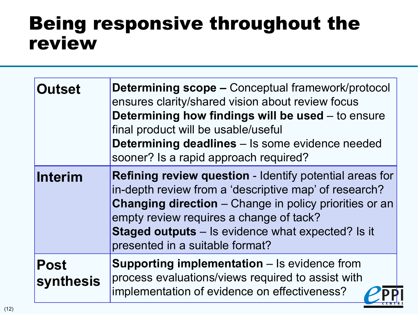### Being responsive throughout the review

| <b>Outset</b>                   | <b>Determining scope – Conceptual framework/protocol</b><br>ensures clarity/shared vision about review focus<br>Determining how findings will be used - to ensure<br>final product will be usable/useful<br><b>Determining deadlines</b> - Is some evidence needed<br>sooner? Is a rapid approach required?                        |
|---------------------------------|------------------------------------------------------------------------------------------------------------------------------------------------------------------------------------------------------------------------------------------------------------------------------------------------------------------------------------|
| <b>Interim</b>                  | <b>Refining review question - Identify potential areas for</b><br>in-depth review from a 'descriptive map' of research?<br><b>Changing direction</b> – Change in policy priorities or an<br>empty review requires a change of tack?<br><b>Staged outputs</b> – Is evidence what expected? Is it<br>presented in a suitable format? |
| <b>Post</b><br><b>synthesis</b> | <b>Supporting implementation – Is evidence from</b><br>process evaluations/views required to assist with<br>implementation of evidence on effectiveness?                                                                                                                                                                           |

╶⋲╒╫╤╜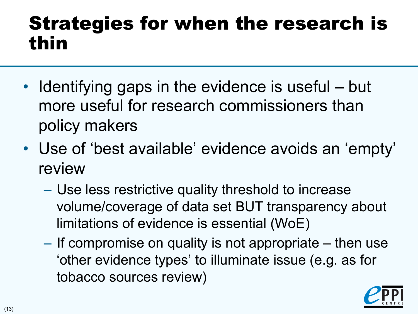## Strategies for when the research is thin

- Identifying gaps in the evidence is useful but more useful for research commissioners than policy makers
- Use of 'best available' evidence avoids an 'empty' review
	- Use less restrictive quality threshold to increase volume/coverage of data set BUT transparency about limitations of evidence is essential (WoE)
	- If compromise on quality is not appropriate then use 'other evidence types' to illuminate issue (e.g. as for tobacco sources review)

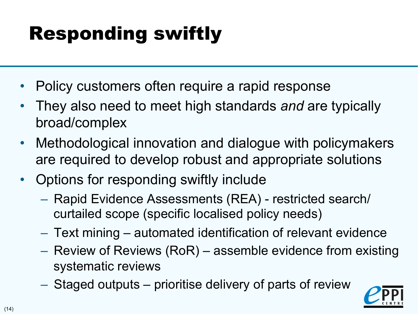## Responding swiftly

- Policy customers often require a rapid response
- They also need to meet high standards *and* are typically broad/complex
- Methodological innovation and dialogue with policymakers are required to develop robust and appropriate solutions
- Options for responding swiftly include
	- Rapid Evidence Assessments (REA) restricted search/ curtailed scope (specific localised policy needs)
	- Text mining automated identification of relevant evidence
	- Review of Reviews (RoR) assemble evidence from existing systematic reviews
	- Staged outputs prioritise delivery of parts of review

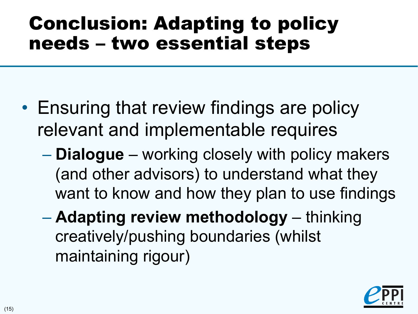## Conclusion: Adapting to policy needs – two essential steps

- Ensuring that review findings are policy relevant and implementable requires
	- **Dialogue** working closely with policy makers (and other advisors) to understand what they want to know and how they plan to use findings
	- **Adapting review methodology**  thinking creatively/pushing boundaries (whilst maintaining rigour)

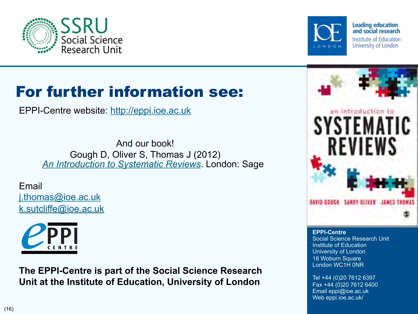



**Leading education** and social research Institute of Education University of London

### For further information see:

EPPI-Centre website: http://eppi.ioe.ac.uk

And our book! Gough D, Oliver S, Thomas J (2012) *An Introduction to Systematic Reviews*. London: Sage

Email j.thomas@ioe.ac.uk k.sutcliffe@ioe.ac.uk



**The EPPI-Centre is part of the Social Science Research Unit at the Institute of Education, University of London** 



**EPPI-Centre**  Social Science Research Unit Institute of Education University of London 18 Woburn Square London WC1H 0NR

Tel +44 (0)20 7612 6397 Fax +44 (0)20 7612 6400 Email eppi@ioe.ac.uk Web eppi.ioe.ac.uk/